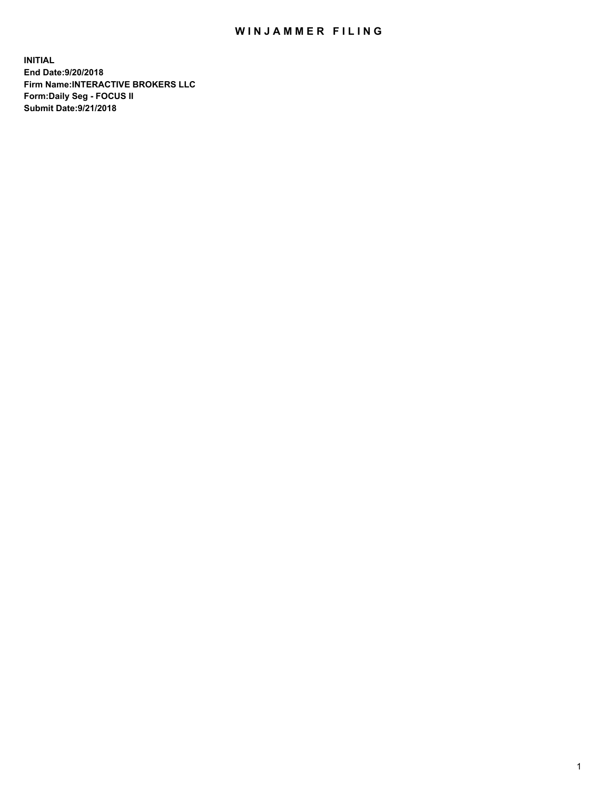## WIN JAMMER FILING

**INITIAL End Date:9/20/2018 Firm Name:INTERACTIVE BROKERS LLC Form:Daily Seg - FOCUS II Submit Date:9/21/2018**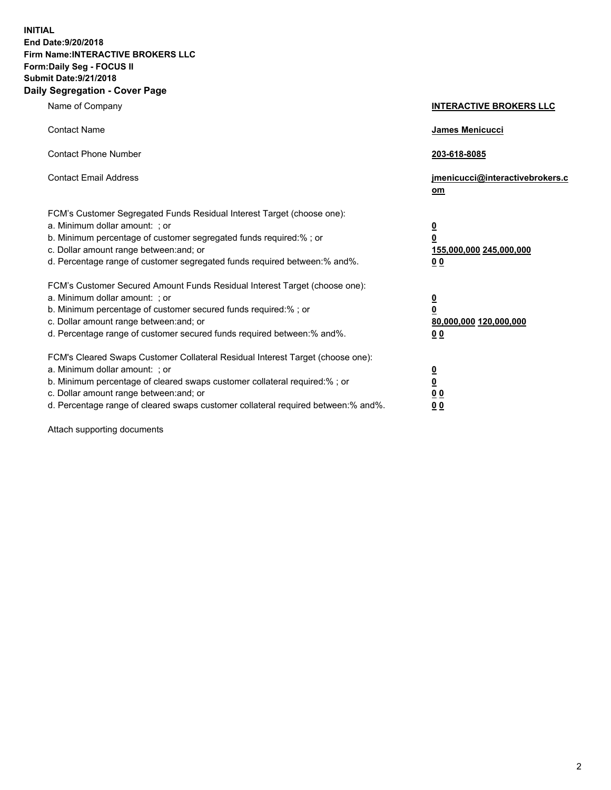**INITIAL End Date:9/20/2018 Firm Name:INTERACTIVE BROKERS LLC Form:Daily Seg - FOCUS II Submit Date:9/21/2018 Daily Segregation - Cover Page**

| Name of Company                                                                                                                                                                                                                                                                                                                | <b>INTERACTIVE BROKERS LLC</b>                                                                  |
|--------------------------------------------------------------------------------------------------------------------------------------------------------------------------------------------------------------------------------------------------------------------------------------------------------------------------------|-------------------------------------------------------------------------------------------------|
| <b>Contact Name</b>                                                                                                                                                                                                                                                                                                            | James Menicucci                                                                                 |
| <b>Contact Phone Number</b>                                                                                                                                                                                                                                                                                                    | 203-618-8085                                                                                    |
| <b>Contact Email Address</b>                                                                                                                                                                                                                                                                                                   | jmenicucci@interactivebrokers.c<br>om                                                           |
| FCM's Customer Segregated Funds Residual Interest Target (choose one):<br>a. Minimum dollar amount: ; or<br>b. Minimum percentage of customer segregated funds required:% ; or<br>c. Dollar amount range between: and; or<br>d. Percentage range of customer segregated funds required between:% and%.                         | $\overline{\mathbf{0}}$<br>$\overline{\mathbf{0}}$<br>155,000,000 245,000,000<br>0 <sub>0</sub> |
| FCM's Customer Secured Amount Funds Residual Interest Target (choose one):<br>a. Minimum dollar amount: ; or<br>b. Minimum percentage of customer secured funds required:% ; or<br>c. Dollar amount range between: and; or<br>d. Percentage range of customer secured funds required between:% and%.                           | $\overline{\mathbf{0}}$<br>0<br>80,000,000 120,000,000<br>0 <sub>0</sub>                        |
| FCM's Cleared Swaps Customer Collateral Residual Interest Target (choose one):<br>a. Minimum dollar amount: ; or<br>b. Minimum percentage of cleared swaps customer collateral required:% ; or<br>c. Dollar amount range between: and; or<br>d. Percentage range of cleared swaps customer collateral required between:% and%. | $\overline{\mathbf{0}}$<br><u>0</u><br>$\underline{0}$ $\underline{0}$<br>00                    |

Attach supporting documents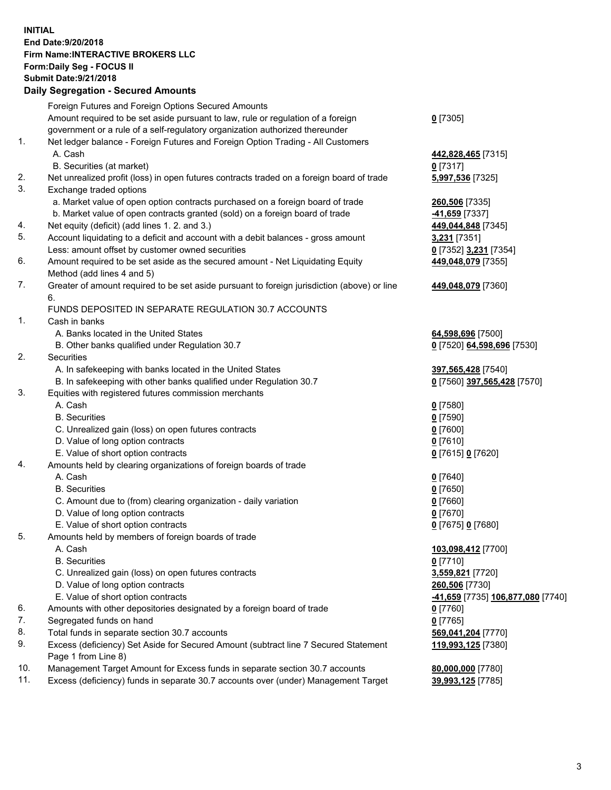## **INITIAL End Date:9/20/2018 Firm Name:INTERACTIVE BROKERS LLC Form:Daily Seg - FOCUS II Submit Date:9/21/2018 Daily Segregation - Secured Amounts**

|                | Dany Ocgi cganon - Occarca Anioante                                                               |                                                             |
|----------------|---------------------------------------------------------------------------------------------------|-------------------------------------------------------------|
|                | Foreign Futures and Foreign Options Secured Amounts                                               |                                                             |
|                | Amount required to be set aside pursuant to law, rule or regulation of a foreign                  | $0$ [7305]                                                  |
|                | government or a rule of a self-regulatory organization authorized thereunder                      |                                                             |
| $\mathbf{1}$ . | Net ledger balance - Foreign Futures and Foreign Option Trading - All Customers                   |                                                             |
|                | A. Cash                                                                                           | 442,828,465 [7315]                                          |
|                | B. Securities (at market)                                                                         | $0$ [7317]                                                  |
| 2.             | Net unrealized profit (loss) in open futures contracts traded on a foreign board of trade         | 5,997,536 [7325]                                            |
| 3.             | Exchange traded options                                                                           |                                                             |
|                | a. Market value of open option contracts purchased on a foreign board of trade                    | 260,506 [7335]                                              |
|                | b. Market value of open contracts granted (sold) on a foreign board of trade                      | -41,659 [7337]                                              |
| 4.             | Net equity (deficit) (add lines 1. 2. and 3.)                                                     | 449,044,848 [7345]                                          |
| 5.             | Account liquidating to a deficit and account with a debit balances - gross amount                 | 3,231 [7351]                                                |
|                | Less: amount offset by customer owned securities                                                  | 0 [7352] 3,231 [7354]                                       |
| 6.             | Amount required to be set aside as the secured amount - Net Liquidating Equity                    | 449,048,079 [7355]                                          |
|                | Method (add lines 4 and 5)                                                                        |                                                             |
| 7.             | Greater of amount required to be set aside pursuant to foreign jurisdiction (above) or line<br>6. | 449,048,079 [7360]                                          |
|                | FUNDS DEPOSITED IN SEPARATE REGULATION 30.7 ACCOUNTS                                              |                                                             |
| $\mathbf{1}$ . | Cash in banks                                                                                     |                                                             |
|                | A. Banks located in the United States                                                             | 64,598,696 [7500]                                           |
|                | B. Other banks qualified under Regulation 30.7                                                    | 0 [7520] 64,598,696 [7530]                                  |
| 2.             | Securities                                                                                        |                                                             |
|                | A. In safekeeping with banks located in the United States                                         | 397,565,428 [7540]                                          |
|                | B. In safekeeping with other banks qualified under Regulation 30.7                                | 0 [7560] 397,565,428 [7570]                                 |
| 3.             | Equities with registered futures commission merchants                                             |                                                             |
|                | A. Cash                                                                                           | $0$ [7580]                                                  |
|                | <b>B.</b> Securities                                                                              | $0$ [7590]                                                  |
|                | C. Unrealized gain (loss) on open futures contracts                                               | $0$ [7600]                                                  |
|                | D. Value of long option contracts                                                                 | $0$ [7610]                                                  |
|                | E. Value of short option contracts                                                                | 0 [7615] 0 [7620]                                           |
| 4.             | Amounts held by clearing organizations of foreign boards of trade                                 |                                                             |
|                | A. Cash                                                                                           | $0$ [7640]                                                  |
|                | <b>B.</b> Securities                                                                              | $0$ [7650]                                                  |
|                | C. Amount due to (from) clearing organization - daily variation                                   | $0$ [7660]                                                  |
|                | D. Value of long option contracts                                                                 | $0$ [7670]                                                  |
|                | E. Value of short option contracts                                                                | 0 [7675] 0 [7680]                                           |
| 5.             | Amounts held by members of foreign boards of trade                                                |                                                             |
|                | A. Cash                                                                                           | 103,098,412 [7700]                                          |
|                | <b>B.</b> Securities                                                                              | $0$ [7710]                                                  |
|                | C. Unrealized gain (loss) on open futures contracts                                               | 3,559,821 [7720]                                            |
|                | D. Value of long option contracts                                                                 | 260,506 [7730]                                              |
|                | E. Value of short option contracts                                                                | <mark>-41,659</mark> [7735] <mark>106,877,080</mark> [7740] |
| 6.             | Amounts with other depositories designated by a foreign board of trade                            | 0 [7760]                                                    |
| 7.             | Segregated funds on hand                                                                          | $0$ [7765]                                                  |
| 8.             | Total funds in separate section 30.7 accounts                                                     | 569,041,204 [7770]                                          |
| 9.             | Excess (deficiency) Set Aside for Secured Amount (subtract line 7 Secured Statement               | 119,993,125 [7380]                                          |
|                | Page 1 from Line 8)                                                                               |                                                             |
| 10.            | Management Target Amount for Excess funds in separate section 30.7 accounts                       | 80,000,000 [7780]                                           |
| 11.            | Excess (deficiency) funds in separate 30.7 accounts over (under) Management Target                | 39,993,125 [7785]                                           |
|                |                                                                                                   |                                                             |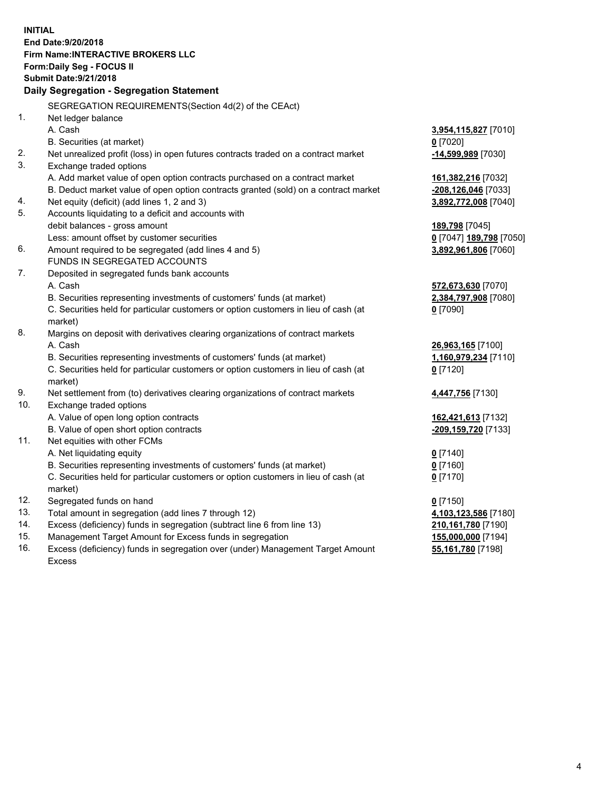**INITIAL End Date:9/20/2018 Firm Name:INTERACTIVE BROKERS LLC Form:Daily Seg - FOCUS II Submit Date:9/21/2018 Daily Segregation - Segregation Statement** SEGREGATION REQUIREMENTS(Section 4d(2) of the CEAct) 1. Net ledger balance A. Cash **3,954,115,827** [7010] B. Securities (at market) **0** [7020] 2. Net unrealized profit (loss) in open futures contracts traded on a contract market **-14,599,989** [7030] 3. Exchange traded options A. Add market value of open option contracts purchased on a contract market **161,382,216** [7032] B. Deduct market value of open option contracts granted (sold) on a contract market **-208,126,046** [7033] 4. Net equity (deficit) (add lines 1, 2 and 3) **3,892,772,008** [7040] 5. Accounts liquidating to a deficit and accounts with debit balances - gross amount **189,798** [7045] Less: amount offset by customer securities **0** [7047] **189,798** [7050] 6. Amount required to be segregated (add lines 4 and 5) **3,892,961,806** [7060] FUNDS IN SEGREGATED ACCOUNTS 7. Deposited in segregated funds bank accounts A. Cash **572,673,630** [7070] B. Securities representing investments of customers' funds (at market) **2,384,797,908** [7080] C. Securities held for particular customers or option customers in lieu of cash (at market) **0** [7090] 8. Margins on deposit with derivatives clearing organizations of contract markets A. Cash **26,963,165** [7100] B. Securities representing investments of customers' funds (at market) **1,160,979,234** [7110] C. Securities held for particular customers or option customers in lieu of cash (at market) **0** [7120] 9. Net settlement from (to) derivatives clearing organizations of contract markets **4,447,756** [7130] 10. Exchange traded options A. Value of open long option contracts **162,421,613** [7132] B. Value of open short option contracts **-209,159,720** [7133] 11. Net equities with other FCMs A. Net liquidating equity **0** [7140] B. Securities representing investments of customers' funds (at market) **0** [7160] C. Securities held for particular customers or option customers in lieu of cash (at market) **0** [7170] 12. Segregated funds on hand **0** [7150] 13. Total amount in segregation (add lines 7 through 12) **4,103,123,586** [7180] 14. Excess (deficiency) funds in segregation (subtract line 6 from line 13) **210,161,780** [7190] 15. Management Target Amount for Excess funds in segregation **155,000,000** [7194] 16. Excess (deficiency) funds in segregation over (under) Management Target Amount **55,161,780** [7198]

Excess